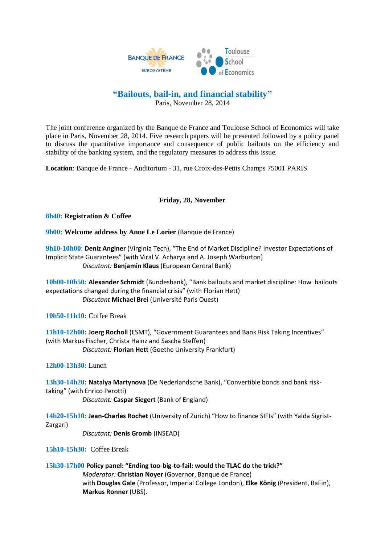

## **"Bailouts, bail-in, and financial stability"**

Paris, November 28, 2014

The joint conference organized by the Banque de France and Toulouse School of Economics will take place in Paris, November 28, 2014. Five research papers will be presented followed by a policy panel to discuss the quantitative importance and consequence of public bailouts on the efficiency and stability of the banking system, and the regulatory measures to address this issue.

**Location**: Banque de France - Auditorium - 31, rue Croix-des-Petits Champs 75001 PARIS

## **Friday, 28, November**

**8h40: Registration & Coffee**

**9h00: Welcome address by Anne Le Lorier** (Banque de France)

**9h10-10h00**: **Deniz Anginer** (Virginia Tech), "The End of Market Discipline? Investor Expectations of Implicit State Guarantees" (with Viral V. Acharya and A. Joseph Warburton) *Discutant:* **Benjamin Klaus** (European Central Bank)

**10h00-10h50: Alexander Schmidt** (Bundesbank), "Bank bailouts and market discipline: How bailouts expectations changed during the financial crisis" (with Florian Hett) *Discutant* **Michael Brei** (Université Paris Ouest)

**10h50-11h10:** Coffee Break

**11h10-12h00: Joerg Rocholl** (ESMT), "Government Guarantees and Bank Risk Taking Incentives" (with Markus Fischer, Christa Hainz and Sascha Steffen) *Discutant:* **Florian Hett** (Goethe University Frankfurt)

**12h00-13h30:** Lunch

**13h30-14h20: Natalya Martynova** (De Nederlandsche Bank), "Convertible bonds and bank risktaking" (with Enrico Perotti)

*Discutant:* **Caspar Siegert** (Bank of England)

**14h20-15h10: Jean-Charles Rochet** (University of Zürich) "How to finance SIFIs" (with Yalda Sigrist-Zargari)

*Discutant:* **Denis Gromb** (INSEAD)

**15h10-15h30:** Coffee Break

**15h30-17h00 Policy panel: "Ending too-big-to-fail: would the TLAC do the trick?"** *Moderator:* **Christian Noyer** (Governor, Banque de France) with **Douglas Gale** (Professor, Imperial College London), **Elke König** (President, BaFin), **Markus Ronner** (UBS).